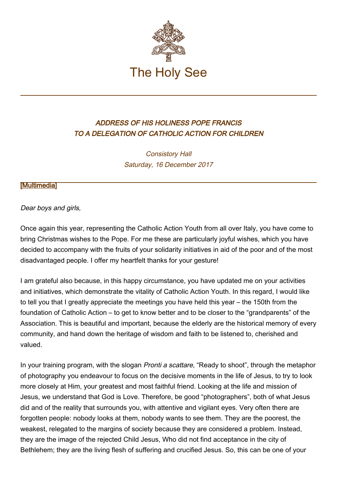

## ADDRESS OF HIS HOLINESS POPE FRANCIS TO A DELEGATION OF CATHOLIC ACTION FOR CHILDREN

Consistory Hall Saturday, 16 December 2017

## [\[Multimedia](http://w2.vatican.va/content/francesco/en/events/event.dir.html/content/vaticanevents/en/2017/12/16/azione-cattolica-ragazzi.html)]

## Dear boys and girls,

Once again this year, representing the Catholic Action Youth from all over Italy, you have come to bring Christmas wishes to the Pope. For me these are particularly joyful wishes, which you have decided to accompany with the fruits of your solidarity initiatives in aid of the poor and of the most disadvantaged people. I offer my heartfelt thanks for your gesture!

I am grateful also because, in this happy circumstance, you have updated me on your activities and initiatives, which demonstrate the vitality of Catholic Action Youth. In this regard, I would like to tell you that I greatly appreciate the meetings you have held this year – the 150th from the foundation of Catholic Action – to get to know better and to be closer to the "grandparents" of the Association. This is beautiful and important, because the elderly are the historical memory of every community, and hand down the heritage of wisdom and faith to be listened to, cherished and valued.

In your training program, with the slogan *Pronti a scattare*, "Ready to shoot", through the metaphor of photography you endeavour to focus on the decisive moments in the life of Jesus, to try to look more closely at Him, your greatest and most faithful friend. Looking at the life and mission of Jesus, we understand that God is Love. Therefore, be good "photographers", both of what Jesus did and of the reality that surrounds you, with attentive and vigilant eyes. Very often there are forgotten people: nobody looks at them, nobody wants to see them. They are the poorest, the weakest, relegated to the margins of society because they are considered a problem. Instead, they are the image of the rejected Child Jesus, Who did not find acceptance in the city of Bethlehem; they are the living flesh of suffering and crucified Jesus. So, this can be one of your